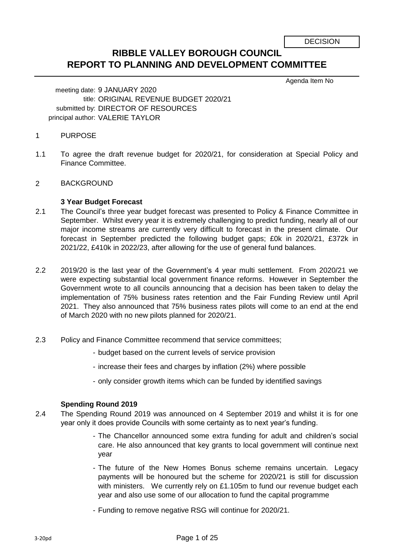DECISION

# **RIBBLE VALLEY BOROUGH COUNCIL REPORT TO PLANNING AND DEVELOPMENT COMMITTEE**

Agenda Item No

meeting date: 9 JANUARY 2020 title: ORIGINAL REVENUE BUDGET 2020/21 submitted by: DIRECTOR OF RESOURCES principal author: VALERIE TAYLOR

- 1 PURPOSE
- 1.1 To agree the draft revenue budget for 2020/21, for consideration at Special Policy and Finance Committee.
- $\mathcal{P}$ BACKGROUND

#### **3 Year Budget Forecast**

- 2.1 The Council's three year budget forecast was presented to Policy & Finance Committee in September. Whilst every year it is extremely challenging to predict funding, nearly all of our major income streams are currently very difficult to forecast in the present climate. Our forecast in September predicted the following budget gaps; £0k in 2020/21, £372k in 2021/22, £410k in 2022/23, after allowing for the use of general fund balances.
- 2.2 2019/20 is the last year of the Government's 4 year multi settlement. From 2020/21 we were expecting substantial local government finance reforms. However in September the Government wrote to all councils announcing that a decision has been taken to delay the implementation of 75% business rates retention and the Fair Funding Review until April 2021. They also announced that 75% business rates pilots will come to an end at the end of March 2020 with no new pilots planned for 2020/21.
- 2.3 Policy and Finance Committee recommend that service committees;
	- budget based on the current levels of service provision
	- increase their fees and charges by inflation (2%) where possible
	- only consider growth items which can be funded by identified savings

#### **Spending Round 2019**

- 2.4 The Spending Round 2019 was announced on 4 September 2019 and whilst it is for one year only it does provide Councils with some certainty as to next year's funding.
	- The Chancellor announced some extra funding for adult and children's social care. He also announced that key grants to local government will continue next year
	- The future of the New Homes Bonus scheme remains uncertain. Legacy payments will be honoured but the scheme for 2020/21 is still for discussion with ministers. We currently rely on £1.105m to fund our revenue budget each year and also use some of our allocation to fund the capital programme
	- Funding to remove negative RSG will continue for 2020/21.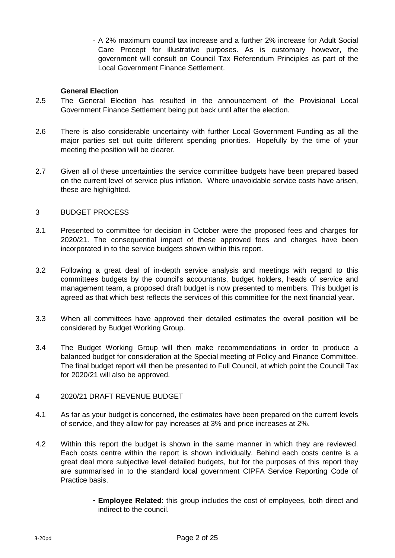- A 2% maximum council tax increase and a further 2% increase for Adult Social Care Precept for illustrative purposes. As is customary however, the government will consult on Council Tax Referendum Principles as part of the Local Government Finance Settlement.

#### **General Election**

- 2.5 The General Election has resulted in the announcement of the Provisional Local Government Finance Settlement being put back until after the election.
- 2.6 There is also considerable uncertainty with further Local Government Funding as all the major parties set out quite different spending priorities. Hopefully by the time of your meeting the position will be clearer.
- 2.7 Given all of these uncertainties the service committee budgets have been prepared based on the current level of service plus inflation. Where unavoidable service costs have arisen, these are highlighted.

#### 3 BUDGET PROCESS

- 3.1 Presented to committee for decision in October were the proposed fees and charges for 2020/21. The consequential impact of these approved fees and charges have been incorporated in to the service budgets shown within this report.
- 3.2 Following a great deal of in-depth service analysis and meetings with regard to this committees budgets by the council's accountants, budget holders, heads of service and management team, a proposed draft budget is now presented to members. This budget is agreed as that which best reflects the services of this committee for the next financial year.
- 3.3 When all committees have approved their detailed estimates the overall position will be considered by Budget Working Group.
- 3.4 The Budget Working Group will then make recommendations in order to produce a balanced budget for consideration at the Special meeting of Policy and Finance Committee. The final budget report will then be presented to Full Council, at which point the Council Tax for 2020/21 will also be approved.
- 4 2020/21 DRAFT REVENUE BUDGET
- 4.1 As far as your budget is concerned, the estimates have been prepared on the current levels of service, and they allow for pay increases at 3% and price increases at 2%.
- 4.2 Within this report the budget is shown in the same manner in which they are reviewed. Each costs centre within the report is shown individually. Behind each costs centre is a great deal more subjective level detailed budgets, but for the purposes of this report they are summarised in to the standard local government CIPFA Service Reporting Code of Practice basis.
	- **Employee Related**: this group includes the cost of employees, both direct and indirect to the council.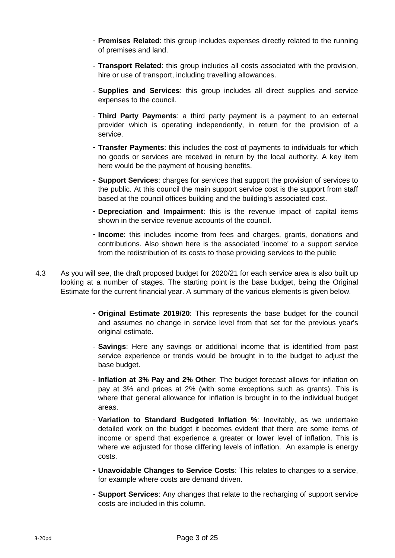- **Premises Related**: this group includes expenses directly related to the running of premises and land.
- **Transport Related**: this group includes all costs associated with the provision, hire or use of transport, including travelling allowances.
- **Supplies and Services**: this group includes all direct supplies and service expenses to the council.
- **Third Party Payments**: a third party payment is a payment to an external provider which is operating independently, in return for the provision of a service.
- **Transfer Payments**: this includes the cost of payments to individuals for which no goods or services are received in return by the local authority. A key item here would be the payment of housing benefits.
- **Support Services**: charges for services that support the provision of services to the public. At this council the main support service cost is the support from staff based at the council offices building and the building's associated cost.
- **Depreciation and Impairment**: this is the revenue impact of capital items shown in the service revenue accounts of the council.
- **Income**: this includes income from fees and charges, grants, donations and contributions. Also shown here is the associated 'income' to a support service from the redistribution of its costs to those providing services to the public
- 4.3 As you will see, the draft proposed budget for 2020/21 for each service area is also built up looking at a number of stages. The starting point is the base budget, being the Original Estimate for the current financial year. A summary of the various elements is given below.
	- **Original Estimate 2019/20**: This represents the base budget for the council and assumes no change in service level from that set for the previous year's original estimate.
	- **Savings**: Here any savings or additional income that is identified from past service experience or trends would be brought in to the budget to adjust the base budget.
	- **Inflation at 3% Pay and 2% Other**: The budget forecast allows for inflation on pay at 3% and prices at 2% (with some exceptions such as grants). This is where that general allowance for inflation is brought in to the individual budget areas.
	- **Variation to Standard Budgeted Inflation %**: Inevitably, as we undertake detailed work on the budget it becomes evident that there are some items of income or spend that experience a greater or lower level of inflation. This is where we adjusted for those differing levels of inflation. An example is energy costs.
	- **Unavoidable Changes to Service Costs**: This relates to changes to a service, for example where costs are demand driven.
	- **Support Services**: Any changes that relate to the recharging of support service costs are included in this column.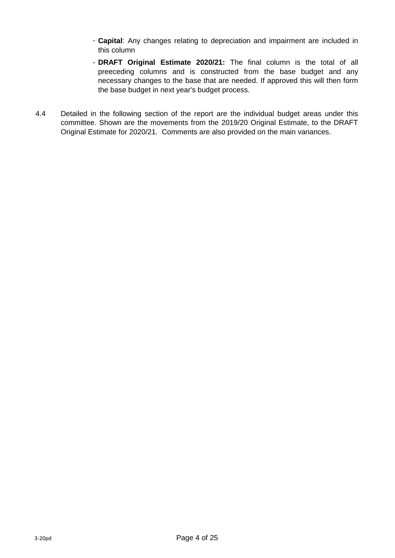- **Capital**: Any changes relating to depreciation and impairment are included in this column
- **DRAFT Original Estimate 2020/21:** The final column is the total of all preeceding columns and is constructed from the base budget and any necessary changes to the base that are needed. If approved this will then form the base budget in next year's budget process.
- 4.4 Detailed in the following section of the report are the individual budget areas under this committee. Shown are the movements from the 2019/20 Original Estimate, to the DRAFT Original Estimate for 2020/21. Comments are also provided on the main variances.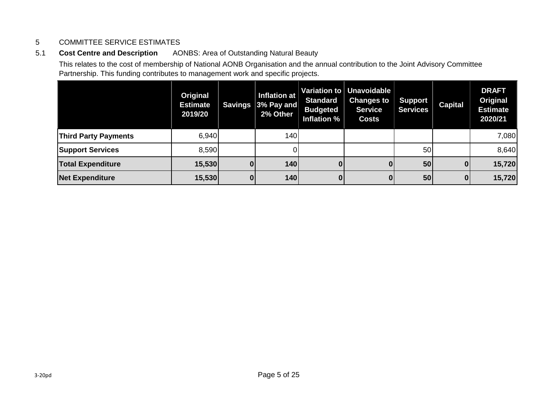#### 5 COMMITTEE SERVICE ESTIMATES

### 5.1 **Cost Centre and Description** AONBS: Area of Outstanding Natural Beauty

This relates to the cost of membership of National AONB Organisation and the annual contribution to the Joint Advisory Committee Partnership. This funding contributes to management work and specific projects.

|                             | Original<br><b>Estimate</b><br>2019/20 | <b>Savings</b> | Inflation at<br>$ 3\%$ Pay and $ $<br>2% Other | <b>Standard</b><br><b>Budgeted</b><br>Inflation % | Variation to   Unavoidable  <br><b>Changes to</b><br><b>Service</b><br><b>Costs</b> | <b>Support</b><br><b>Services</b> | <b>Capital</b> | <b>DRAFT</b><br>Original<br><b>Estimate</b><br>2020/21 |
|-----------------------------|----------------------------------------|----------------|------------------------------------------------|---------------------------------------------------|-------------------------------------------------------------------------------------|-----------------------------------|----------------|--------------------------------------------------------|
| <b>Third Party Payments</b> | 6,940                                  |                | 140                                            |                                                   |                                                                                     |                                   |                | 7,080                                                  |
| <b>Support Services</b>     | 8,590                                  |                |                                                |                                                   |                                                                                     | 50                                |                | 8,640                                                  |
| <b>Total Expenditure</b>    | 15,530                                 | 0              | <b>140</b>                                     | 0                                                 | 0                                                                                   | 50                                | 0              | 15,720                                                 |
| <b>Net Expenditure</b>      | 15,530                                 | <sup>0</sup>   | <b>140</b>                                     | 0                                                 | $\bf{0}$                                                                            | 50                                | $\bf{0}$       | 15,720                                                 |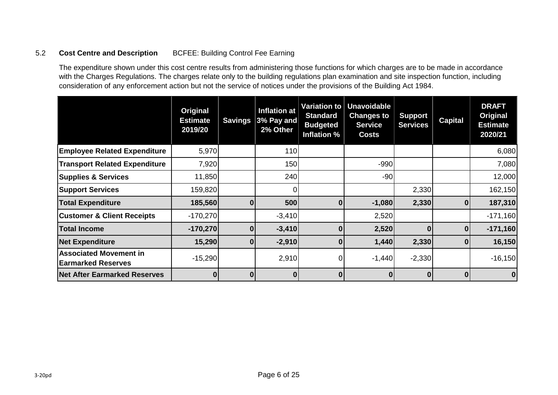#### 5.2 **Cost Centre and Description** BCFEE: Building Control Fee Earning

The expenditure shown under this cost centre results from administering those functions for which charges are to be made in accordance with the Charges Regulations. The charges relate only to the building regulations plan examination and site inspection function, including consideration of any enforcement action but not the service of notices under the provisions of the Building Act 1984.

|                                                            | Original<br><b>Estimate</b><br>2019/20 | <b>Savings</b> | <b>Inflation at</b><br>3% Pay and<br>2% Other | Variation to<br><b>Standard</b><br><b>Budgeted</b><br>Inflation % | <b>Unavoidable</b><br><b>Changes to</b><br><b>Service</b><br><b>Costs</b> | <b>Support</b><br><b>Services</b> | <b>Capital</b> | <b>DRAFT</b><br>Original<br><b>Estimate</b><br>2020/21 |
|------------------------------------------------------------|----------------------------------------|----------------|-----------------------------------------------|-------------------------------------------------------------------|---------------------------------------------------------------------------|-----------------------------------|----------------|--------------------------------------------------------|
| <b>Employee Related Expenditure</b>                        | 5,970                                  |                | <b>110</b>                                    |                                                                   |                                                                           |                                   |                | 6,080                                                  |
| <b>Transport Related Expenditure</b>                       | 7,920                                  |                | 150                                           |                                                                   | $-990$                                                                    |                                   |                | 7,080                                                  |
| <b>Supplies &amp; Services</b>                             | 11,850                                 |                | 240                                           |                                                                   | $-90$                                                                     |                                   |                | 12,000                                                 |
| <b>Support Services</b>                                    | 159,820                                |                |                                               |                                                                   |                                                                           | 2,330                             |                | 162,150                                                |
| <b>Total Expenditure</b>                                   | 185,560                                | $\mathbf{0}$   | <b>500</b>                                    | $\mathbf{0}$                                                      | $-1,080$                                                                  | 2,330                             | $\bf{0}$       | 187,310                                                |
| <b>Customer &amp; Client Receipts</b>                      | $-170,270$                             |                | $-3,410$                                      |                                                                   | 2,520                                                                     |                                   |                | $-171,160$                                             |
| <b>Total Income</b>                                        | $-170,270$                             | 0              | $-3,410$                                      | 0                                                                 | 2,520                                                                     | 0                                 | 01             | $-171,160$                                             |
| <b>Net Expenditure</b>                                     | 15,290                                 | 0              | $-2,910$                                      | 0                                                                 | 1,440                                                                     | 2,330                             | $\mathbf 0$    | 16,150                                                 |
| <b>Associated Movement in</b><br><b>Earmarked Reserves</b> | $-15,290$                              |                | 2,910                                         | 0                                                                 | $-1,440$                                                                  | $-2,330$                          |                | $-16,150$                                              |
| <b>Net After Earmarked Reserves</b>                        | 0                                      | $\mathbf{0}$   | $\bf{0}$                                      | $\mathbf{0}$                                                      | $\mathbf{0}$                                                              | $\bf{0}$                          | $\mathbf{0}$   | 0                                                      |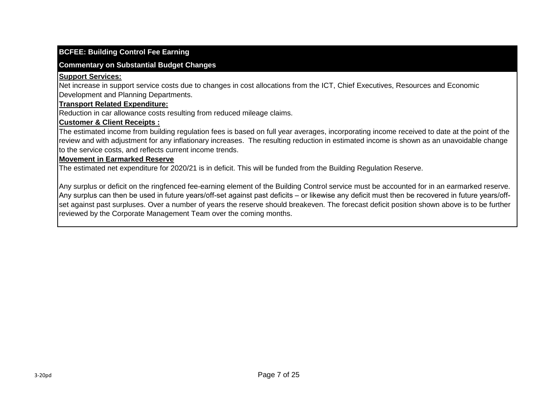#### **BCFEE: Building Control Fee Earning**

#### **Commentary on Substantial Budget Changes**

#### **Support Services:**

Net increase in support service costs due to changes in cost allocations from the ICT, Chief Executives, Resources and Economic Development and Planning Departments.

#### **Transport Related Expenditure:**

Reduction in car allowance costs resulting from reduced mileage claims.

#### **Customer & Client Receipts :**

The estimated income from building regulation fees is based on full year averages, incorporating income received to date at the point of the review and with adjustment for any inflationary increases. The resulting reduction in estimated income is shown as an unavoidable change to the service costs, and reflects current income trends.

#### **Movement in Earmarked Reserve**

The estimated net expenditure for 2020/21 is in deficit. This will be funded from the Building Regulation Reserve.

Any surplus or deficit on the ringfenced fee-earning element of the Building Control service must be accounted for in an earmarked reserve. Any surplus can then be used in future years/off-set against past deficits – or likewise any deficit must then be recovered in future years/offset against past surpluses. Over a number of years the reserve should breakeven. The forecast deficit position shown above is to be further reviewed by the Corporate Management Team over the coming months.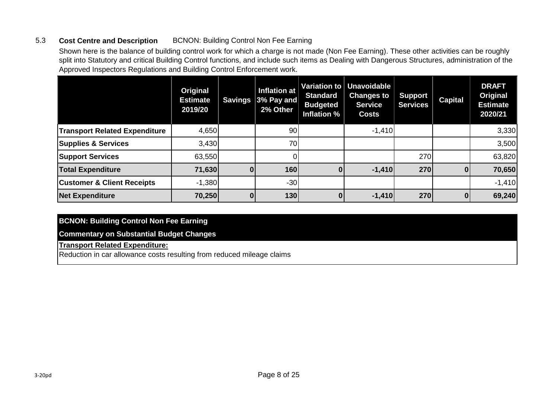#### 5.3 **Cost Centre and Description** BCNON: Building Control Non Fee Earning

Shown here is the balance of building control work for which a charge is not made (Non Fee Earning). These other activities can be roughly split into Statutory and critical Building Control functions, and include such items as Dealing with Dangerous Structures, administration of the Approved Inspectors Regulations and Building Control Enforcement work.

|                                       | Original<br><b>Estimate</b><br>2019/20 | <b>Savings</b> | Inflation at<br>$ 3\%$ Pay and<br>2% Other | <b>Standard</b><br><b>Budgeted</b><br>Inflation % | Variation to Unavoidable<br><b>Changes to</b><br><b>Service</b><br><b>Costs</b> | Support<br><b>Services</b> | <b>Capital</b> | <b>DRAFT</b><br>Original<br><b>Estimate</b><br>2020/21 |
|---------------------------------------|----------------------------------------|----------------|--------------------------------------------|---------------------------------------------------|---------------------------------------------------------------------------------|----------------------------|----------------|--------------------------------------------------------|
| <b>Transport Related Expenditure</b>  | 4,650                                  |                | 90                                         |                                                   | $-1,410$                                                                        |                            |                | 3,330                                                  |
| <b>Supplies &amp; Services</b>        | 3,430                                  |                | 70                                         |                                                   |                                                                                 |                            |                | 3,500                                                  |
| <b>Support Services</b>               | 63,550                                 |                |                                            |                                                   |                                                                                 | 270                        |                | 63,820                                                 |
| <b>Total Expenditure</b>              | 71,630                                 |                | 160                                        | 0                                                 | $-1,410$                                                                        | 270                        | $\mathbf{0}$   | 70,650                                                 |
| <b>Customer &amp; Client Receipts</b> | $-1,380$                               |                | $-30$                                      |                                                   |                                                                                 |                            |                | $-1,410$                                               |
| <b>Net Expenditure</b>                | 70,250                                 |                | 130                                        |                                                   | $-1,410$                                                                        | 270                        | 0              | 69,240                                                 |

#### **BCNON: Building Control Non Fee Earning**

#### **Commentary on Substantial Budget Changes**

#### **Transport Related Expenditure:**

Reduction in car allowance costs resulting from reduced mileage claims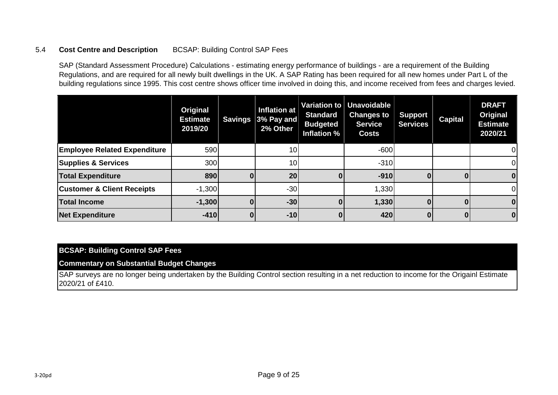#### 5.4 **Cost Centre and Description** BCSAP: Building Control SAP Fees

SAP (Standard Assessment Procedure) Calculations - estimating energy performance of buildings - are a requirement of the Building Regulations, and are required for all newly built dwellings in the UK. A SAP Rating has been required for all new homes under Part L of the building regulations since 1995. This cost centre shows officer time involved in doing this, and income received from fees and charges levied.

|                                       | Original<br><b>Estimate</b><br>2019/20 | <b>Savings</b> | Inflation at<br>$3%$ Pay and<br>2% Other | <b>Standard</b><br><b>Budgeted</b><br>Inflation % | Variation to Unavoidable<br><b>Changes to</b><br><b>Service</b><br><b>Costs</b> | <b>Support</b><br><b>Services</b> | <b>Capital</b> | <b>DRAFT</b><br>Original<br><b>Estimate</b><br>2020/21 |
|---------------------------------------|----------------------------------------|----------------|------------------------------------------|---------------------------------------------------|---------------------------------------------------------------------------------|-----------------------------------|----------------|--------------------------------------------------------|
| <b>Employee Related Expenditure</b>   | 590                                    |                | 10 <sup>1</sup>                          |                                                   | $-600$                                                                          |                                   |                | 01                                                     |
| <b>Supplies &amp; Services</b>        | 300                                    |                | 10 <sub>1</sub>                          |                                                   | $-310$                                                                          |                                   |                | 01                                                     |
| <b>Total Expenditure</b>              | 890                                    | 0              | 20                                       |                                                   | $-910$                                                                          | o                                 |                | $\bf{0}$                                               |
| <b>Customer &amp; Client Receipts</b> | $-1,300$                               |                | $-30$                                    |                                                   | 1,330                                                                           |                                   |                | ΟI                                                     |
| <b>Total Income</b>                   | $-1,300$                               |                | $-30$                                    |                                                   | 1,330                                                                           |                                   |                | $\bf{0}$                                               |
| <b>Net Expenditure</b>                | $-410$                                 |                | $-10$                                    |                                                   | 420                                                                             |                                   |                | $\bf{0}$                                               |

#### **BCSAP: Building Control SAP Fees**

**Commentary on Substantial Budget Changes**

SAP surveys are no longer being undertaken by the Building Control section resulting in a net reduction to income for the Origainl Estimate 2020/21 of £410.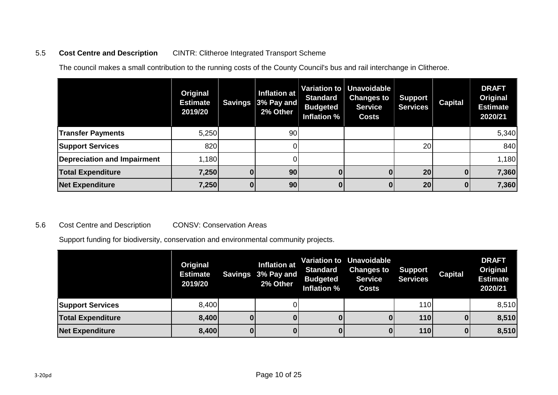#### 5.5 **Cost Centre and Description** CINTR: Clitheroe Integrated Transport Scheme

The council makes a small contribution to the running costs of the County Council's bus and rail interchange in Clitheroe.

|                             | Original<br><b>Estimate</b><br>2019/20 | <b>Savings</b> | Inflation at<br>$ 3\%$ Pay and<br>2% Other | <b>Standard</b><br><b>Budgeted</b><br>Inflation % | Variation to   Unavoidable  <br><b>Changes to</b><br><b>Service</b><br><b>Costs</b> | <b>Support</b><br><b>Services</b> | <b>Capital</b> | <b>DRAFT</b><br>Original<br><b>Estimate</b><br>2020/21 |
|-----------------------------|----------------------------------------|----------------|--------------------------------------------|---------------------------------------------------|-------------------------------------------------------------------------------------|-----------------------------------|----------------|--------------------------------------------------------|
| <b>Transfer Payments</b>    | 5,250                                  |                | 90                                         |                                                   |                                                                                     |                                   |                | 5,340                                                  |
| <b>Support Services</b>     | 820                                    |                |                                            |                                                   |                                                                                     | 20                                |                | 840                                                    |
| Depreciation and Impairment | 1,180                                  |                |                                            |                                                   |                                                                                     |                                   |                | 1,180                                                  |
| <b>Total Expenditure</b>    | 7,250                                  |                | 90                                         |                                                   |                                                                                     | 20                                |                | 7,360                                                  |
| <b>Net Expenditure</b>      | 7,250                                  |                | 90 <sub>l</sub>                            |                                                   |                                                                                     | 20                                |                | 7,360                                                  |

#### 5.6 Cost Centre and Description CONSV: Conservation Areas

Support funding for biodiversity, conservation and environmental community projects.

|                          | Original<br><b>Estimate</b><br>2019/20 | Inflation at<br>Savings 3% Pay and<br>2% Other | <b>Standard</b><br><b>Budgeted</b><br>Inflation % | <b>Variation to Unavoidable</b><br><b>Changes to</b><br><b>Service</b><br><b>Costs</b> | <b>Support</b><br><b>Services</b> | <b>Capital</b> | <b>DRAFT</b><br>Original<br><b>Estimate</b><br>2020/21 |
|--------------------------|----------------------------------------|------------------------------------------------|---------------------------------------------------|----------------------------------------------------------------------------------------|-----------------------------------|----------------|--------------------------------------------------------|
| <b>Support Services</b>  | 8,400                                  |                                                |                                                   |                                                                                        | <b>110</b>                        |                | 8,510                                                  |
| <b>Total Expenditure</b> | 8,400                                  |                                                |                                                   |                                                                                        | <b>110</b>                        |                | 8,510                                                  |
| <b>Net Expenditure</b>   | 8,400                                  |                                                |                                                   |                                                                                        | <b>110</b>                        |                | 8,510                                                  |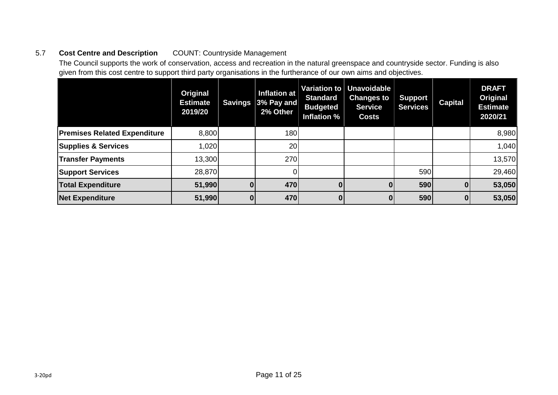#### 5.7 **Cost Centre and Description** COUNT: Countryside Management

The Council supports the work of conservation, access and recreation in the natural greenspace and countryside sector. Funding is also given from this cost centre to support third party organisations in the furtherance of our own aims and objectives.

|                                     | Original<br><b>Estimate</b><br>2019/20 | <b>Savings</b> | Inflation at<br>$ 3\%$ Pay and<br>2% Other | Variation to<br><b>Standard</b><br><b>Budgeted</b><br>Inflation % | Unavoidable  <br><b>Changes to</b><br><b>Service</b><br><b>Costs</b> | <b>Support</b><br><b>Services</b> | <b>Capital</b> | <b>DRAFT</b><br>Original<br><b>Estimate</b><br>2020/21 |
|-------------------------------------|----------------------------------------|----------------|--------------------------------------------|-------------------------------------------------------------------|----------------------------------------------------------------------|-----------------------------------|----------------|--------------------------------------------------------|
| <b>Premises Related Expenditure</b> | 8,800                                  |                | <b>180</b>                                 |                                                                   |                                                                      |                                   |                | 8,980                                                  |
| <b>Supplies &amp; Services</b>      | 1,020                                  |                | 20                                         |                                                                   |                                                                      |                                   |                | 1,040                                                  |
| <b>Transfer Payments</b>            | 13,300                                 |                | <b>270</b>                                 |                                                                   |                                                                      |                                   |                | 13,570                                                 |
| <b>Support Services</b>             | 28,870                                 |                |                                            |                                                                   |                                                                      | 590                               |                | 29,460                                                 |
| <b>Total Expenditure</b>            | 51,990                                 |                | 470                                        | 0                                                                 |                                                                      | 590                               | 0              | 53,050                                                 |
| <b>Net Expenditure</b>              | 51,990                                 |                | 470                                        | $\mathbf{0}$                                                      |                                                                      | 590                               | 0              | 53,050                                                 |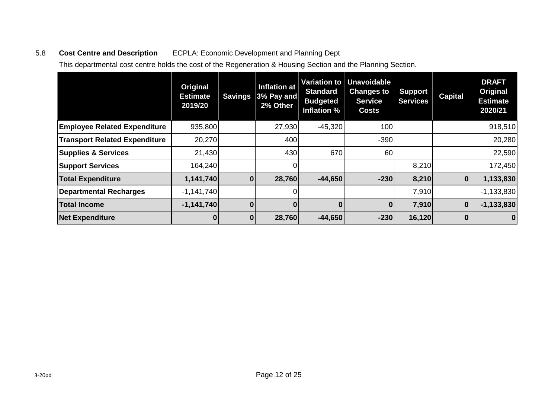# 5.8 **Cost Centre and Description** ECPLA: Economic Development and Planning Dept

This departmental cost centre holds the cost of the Regeneration & Housing Section and the Planning Section.

|                                      | Original<br><b>Estimate</b><br>2019/20 | <b>Savings</b> | <b>Inflation at</b><br>$ 3\%$ Pay and $ $<br>2% Other | Variation to<br><b>Standard</b><br><b>Budgeted</b><br><b>Inflation %</b> | <b>Unavoidable</b><br><b>Changes to</b><br><b>Service</b><br><b>Costs</b> | <b>Support</b><br><b>Services</b> | <b>Capital</b> | <b>DRAFT</b><br>Original<br><b>Estimate</b><br>2020/21 |
|--------------------------------------|----------------------------------------|----------------|-------------------------------------------------------|--------------------------------------------------------------------------|---------------------------------------------------------------------------|-----------------------------------|----------------|--------------------------------------------------------|
| <b>Employee Related Expenditure</b>  | 935,800                                |                | 27,930                                                | $-45,320$                                                                | 100                                                                       |                                   |                | 918,510                                                |
| <b>Transport Related Expenditure</b> | 20,270                                 |                | 400                                                   |                                                                          | $-390$                                                                    |                                   |                | 20,280                                                 |
| <b>Supplies &amp; Services</b>       | 21,430                                 |                | 430                                                   | 670                                                                      | 60                                                                        |                                   |                | 22,590                                                 |
| <b>Support Services</b>              | 164,240                                |                |                                                       |                                                                          |                                                                           | 8,210                             |                | 172,450                                                |
| <b>Total Expenditure</b>             | 1,141,740                              | $\mathbf{0}$   | 28,760                                                | $-44,650$                                                                | $-230$                                                                    | 8,210                             | $\mathbf 0$    | 1,133,830                                              |
| <b>Departmental Recharges</b>        | $-1,141,740$                           |                |                                                       |                                                                          |                                                                           | 7,910                             |                | $-1,133,830$                                           |
| <b>Total Income</b>                  | $-1,141,740$                           |                |                                                       | $\mathbf{0}$                                                             | 0                                                                         | 7,910                             | $\bf{0}$       | $-1,133,830$                                           |
| <b>Net Expenditure</b>               |                                        | $\mathbf{0}$   | 28,760                                                | $-44,650$                                                                | $-230$                                                                    | 16,120                            | 0              | 0                                                      |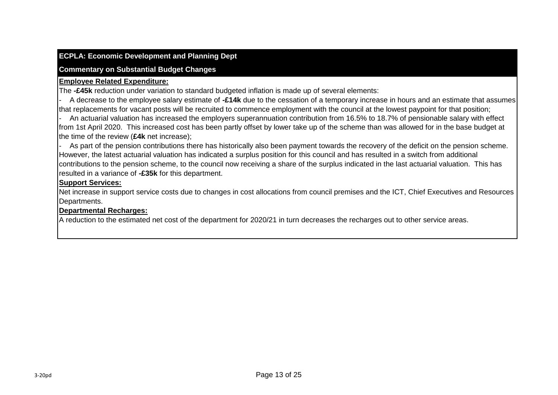#### **ECPLA: Economic Development and Planning Dept**

#### **Commentary on Substantial Budget Changes**

#### **Employee Related Expenditure:**

The **-£45k** reduction under variation to standard budgeted inflation is made up of several elements:

- A decrease to the employee salary estimate of **-£14k** due to the cessation of a temporary increase in hours and an estimate that assumes that replacements for vacant posts will be recruited to commence employment with the council at the lowest paypoint for that position;

- An actuarial valuation has increased the employers superannuation contribution from 16.5% to 18.7% of pensionable salary with effect from 1st April 2020. This increased cost has been partly offset by lower take up of the scheme than was allowed for in the base budget at the time of the review (**£4k** net increase);

As part of the pension contributions there has historically also been payment towards the recovery of the deficit on the pension scheme. However, the latest actuarial valuation has indicated a surplus position for this council and has resulted in a switch from additional contributions to the pension scheme, to the council now receiving a share of the surplus indicated in the last actuarial valuation. This has resulted in a variance of **-£35k** for this department.

#### **Support Services:**

Net increase in support service costs due to changes in cost allocations from council premises and the ICT, Chief Executives and Resources Departments.

#### **Departmental Recharges:**

A reduction to the estimated net cost of the department for 2020/21 in turn decreases the recharges out to other service areas.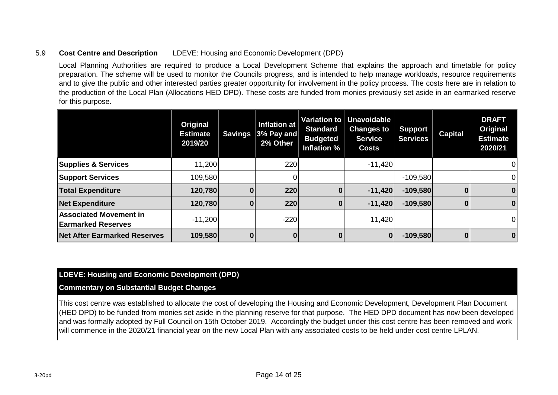#### 5.9 **Cost Centre and Description** LDEVE: Housing and Economic Development (DPD)

Local Planning Authorities are required to produce a Local Development Scheme that explains the approach and timetable for policy preparation. The scheme will be used to monitor the Councils progress, and is intended to help manage workloads, resource requirements and to give the public and other interested parties greater opportunity for involvement in the policy process. The costs here are in relation to the production of the Local Plan (Allocations HED DPD). These costs are funded from monies previously set aside in an earmarked reserve for this purpose.

|                                                            | Original<br><b>Estimate</b><br>2019/20 | <b>Savings</b> | <b>Inflation at</b><br>$3%$ Pay and<br>2% Other | Variation to<br><b>Standard</b><br><b>Budgeted</b><br>Inflation % | Unavoidable<br><b>Changes to</b><br><b>Service</b><br><b>Costs</b> | <b>Support</b><br><b>Services</b> | <b>Capital</b> | <b>DRAFT</b><br>Original<br><b>Estimate</b><br>2020/21 |
|------------------------------------------------------------|----------------------------------------|----------------|-------------------------------------------------|-------------------------------------------------------------------|--------------------------------------------------------------------|-----------------------------------|----------------|--------------------------------------------------------|
| <b>Supplies &amp; Services</b>                             | 11,200                                 |                | 220                                             |                                                                   | $-11,420$                                                          |                                   |                | 0                                                      |
| <b>Support Services</b>                                    | 109,580                                |                |                                                 |                                                                   |                                                                    | $-109,580$                        |                | $\Omega$                                               |
| <b>Total Expenditure</b>                                   | 120,780                                |                | 220                                             | 0                                                                 | $-11,420$                                                          | $-109,580$                        |                | 0                                                      |
| <b>Net Expenditure</b>                                     | 120,780                                |                | 220                                             | $\mathbf{0}$                                                      | $-11,420$                                                          | $-109,580$                        | $\bf{0}$       | $\mathbf{0}$                                           |
| <b>Associated Movement in</b><br><b>Earmarked Reserves</b> | $-11,200$                              |                | $-220$                                          |                                                                   | 11,420                                                             |                                   |                | $\overline{0}$                                         |
| <b>Net After Earmarked Reserves</b>                        | 109,580                                |                |                                                 | 0                                                                 | $\bf{0}$                                                           | $-109,580$                        | 0              | $\mathbf{0}$                                           |

#### **LDEVE: Housing and Economic Development (DPD)**

#### **Commentary on Substantial Budget Changes**

This cost centre was established to allocate the cost of developing the Housing and Economic Development, Development Plan Document (HED DPD) to be funded from monies set aside in the planning reserve for that purpose. The HED DPD document has now been developed and was formally adopted by Full Council on 15th October 2019. Accordingly the budget under this cost centre has been removed and work will commence in the 2020/21 financial year on the new Local Plan with any associated costs to be held under cost centre LPLAN.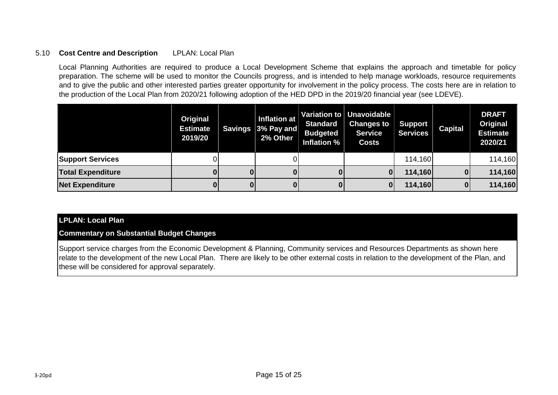#### 5.10 **Cost Centre and Description** LPLAN: Local Plan

Local Planning Authorities are required to produce a Local Development Scheme that explains the approach and timetable for policy preparation. The scheme will be used to monitor the Councils progress, and is intended to help manage workloads, resource requirements and to give the public and other interested parties greater opportunity for involvement in the policy process. The costs here are in relation to the production of the Local Plan from 2020/21 following adoption of the HED DPD in the 2019/20 financial year (see LDEVE).

|                          | Original<br><b>Estimate</b><br>2019/20 | Inflation at<br>Savings 3% Pay and<br>2% Other | <b>Standard</b><br><b>Budgeted</b><br>Inflation % | Variation to Unavoidable<br><b>Changes to</b><br><b>Service</b><br><b>Costs</b> | <b>Support</b><br><b>Services</b> | <b>Capital</b> | <b>DRAFT</b><br>Original<br><b>Estimate</b><br>2020/21 |
|--------------------------|----------------------------------------|------------------------------------------------|---------------------------------------------------|---------------------------------------------------------------------------------|-----------------------------------|----------------|--------------------------------------------------------|
| <b>Support Services</b>  |                                        |                                                |                                                   |                                                                                 | 114,160                           |                | 114,160                                                |
| <b>Total Expenditure</b> |                                        |                                                |                                                   | 01                                                                              | 114,160                           |                | 114,160                                                |
| <b>Net Expenditure</b>   |                                        |                                                |                                                   | 01                                                                              | 114,160                           | 0              | 114,160                                                |

#### **LPLAN: Local Plan**

**Commentary on Substantial Budget Changes**

Support service charges from the Economic Development & Planning, Community services and Resources Departments as shown here relate to the development of the new Local Plan. There are likely to be other external costs in relation to the development of the Plan, and these will be considered for approval separately.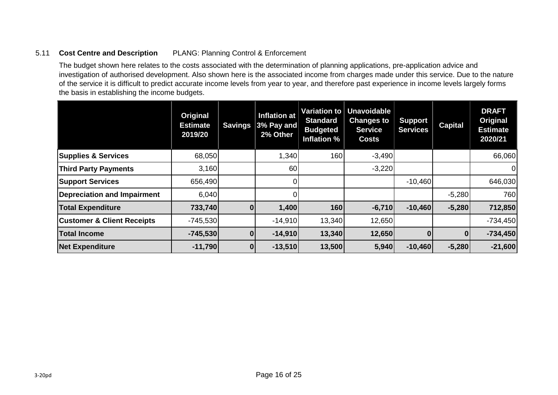#### 5.11 **Cost Centre and Description** PLANG: Planning Control & Enforcement

The budget shown here relates to the costs associated with the determination of planning applications, pre-application advice and investigation of authorised development. Also shown here is the associated income from charges made under this service. Due to the nature of the service it is difficult to predict accurate income levels from year to year, and therefore past experience in income levels largely forms the basis in establishing the income budgets.

|                                       | Original<br><b>Estimate</b><br>2019/20 | <b>Savings</b> | <b>Inflation at</b><br>$ 3\%$ Pay and<br>2% Other | <b>Variation to</b><br><b>Standard</b><br><b>Budgeted</b><br>Inflation % | <b>Unavoidable</b><br><b>Changes to</b><br><b>Service</b><br><b>Costs</b> | <b>Support</b><br><b>Services</b> | <b>Capital</b> | <b>DRAFT</b><br>Original<br><b>Estimate</b><br>2020/21 |
|---------------------------------------|----------------------------------------|----------------|---------------------------------------------------|--------------------------------------------------------------------------|---------------------------------------------------------------------------|-----------------------------------|----------------|--------------------------------------------------------|
| <b>Supplies &amp; Services</b>        | 68,050                                 |                | 1,340                                             | 160                                                                      | $-3,490$                                                                  |                                   |                | 66,060                                                 |
| <b>Third Party Payments</b>           | 3,160                                  |                | 60                                                |                                                                          | $-3,220$                                                                  |                                   |                | 0                                                      |
| <b>Support Services</b>               | 656,490                                |                |                                                   |                                                                          |                                                                           | $-10,460$                         |                | 646,030                                                |
| <b>Depreciation and Impairment</b>    | 6,040                                  |                |                                                   |                                                                          |                                                                           |                                   | $-5,280$       | 760                                                    |
| <b>Total Expenditure</b>              | 733,740                                | $\mathbf{0}$   | 1,400                                             | 160                                                                      | $-6,710$                                                                  | $-10,460$                         | $-5,280$       | 712,850                                                |
| <b>Customer &amp; Client Receipts</b> | $-745,530$                             |                | $-14,910$                                         | 13,340                                                                   | 12,650                                                                    |                                   |                | $-734,450$                                             |
| <b>Total Income</b>                   | $-745,530$                             |                | $-14,910$                                         | 13,340                                                                   | 12,650                                                                    |                                   | 0              | $-734,450$                                             |
| <b>Net Expenditure</b>                | $-11,790$                              | $\mathbf{0}$   | $-13,510$                                         | 13,500                                                                   | 5,940                                                                     | $-10,460$                         | $-5,280$       | $-21,600$                                              |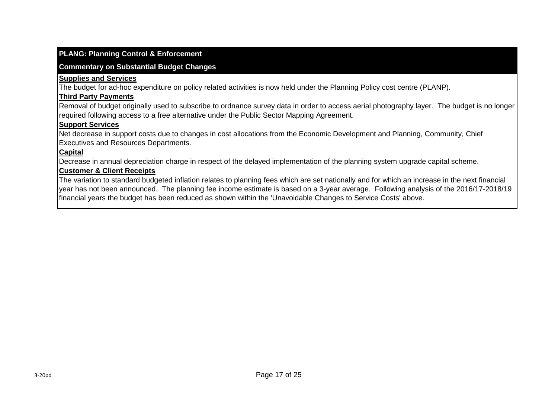#### **PLANG: Planning Control & Enforcement**

#### **Commentary on Substantial Budget Changes**

#### **Supplies and Services**

The budget for ad-hoc expenditure on policy related activities is now held under the Planning Policy cost centre (PLANP).

#### **Third Party Payments**

Removal of budget originally used to subscribe to ordnance survey data in order to access aerial photography layer. The budget is no longer required following access to a free alternative under the Public Sector Mapping Agreement.

#### **Support Services**

Net decrease in support costs due to changes in cost allocations from the Economic Development and Planning, Community, Chief Executives and Resources Departments.

#### **Capital**

Decrease in annual depreciation charge in respect of the delayed implementation of the planning system upgrade capital scheme.

#### **Customer & Client Receipts**

The variation to standard budgeted inflation relates to planning fees which are set nationally and for which an increase in the next financial year has not been announced. The planning fee income estimate is based on a 3-year average. Following analysis of the 2016/17-2018/19 financial years the budget has been reduced as shown within the 'Unavoidable Changes to Service Costs' above.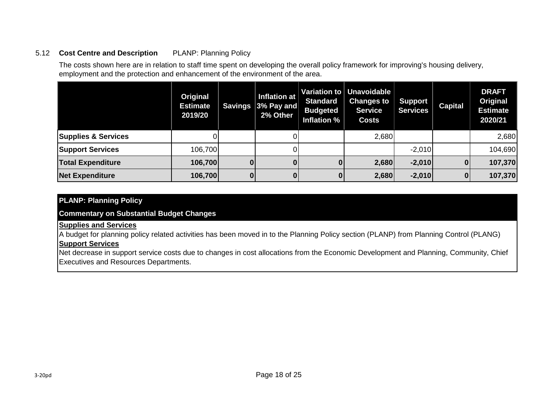#### 5.12 **Cost Centre and Description** PLANP: Planning Policy

The costs shown here are in relation to staff time spent on developing the overall policy framework for improving's housing delivery, employment and the protection and enhancement of the environment of the area.

|                                | Original<br><b>Estimate</b><br>2019/20 | Savings | Inflation at<br>$ 3\%$ Pay and<br>2% Other | <b>Standard</b><br><b>Budgeted</b><br>Inflation % | Variation to Unavoidable<br><b>Changes to</b><br><b>Service</b><br><b>Costs</b> | Support<br><b>Services</b> | <b>Capital</b> | <b>DRAFT</b><br>Original<br><b>Estimate</b><br>2020/21 |
|--------------------------------|----------------------------------------|---------|--------------------------------------------|---------------------------------------------------|---------------------------------------------------------------------------------|----------------------------|----------------|--------------------------------------------------------|
| <b>Supplies &amp; Services</b> |                                        |         |                                            |                                                   | 2,680                                                                           |                            |                | 2,680                                                  |
| <b>Support Services</b>        | 106,700                                |         |                                            |                                                   |                                                                                 | $-2,010$                   |                | 104,690                                                |
| <b>Total Expenditure</b>       | 106,700                                |         |                                            |                                                   | 2,680                                                                           | $-2,010$                   |                | 107,370                                                |
| <b>Net Expenditure</b>         | 106,700                                |         |                                            | 01                                                | 2,680                                                                           | $-2,010$                   |                | 107,370                                                |

#### **PLANP: Planning Policy**

**Commentary on Substantial Budget Changes**

#### **Supplies and Services**

A budget for planning policy related activities has been moved in to the Planning Policy section (PLANP) from Planning Control (PLANG) **Support Services**

Net decrease in support service costs due to changes in cost allocations from the Economic Development and Planning, Community, Chief Executives and Resources Departments.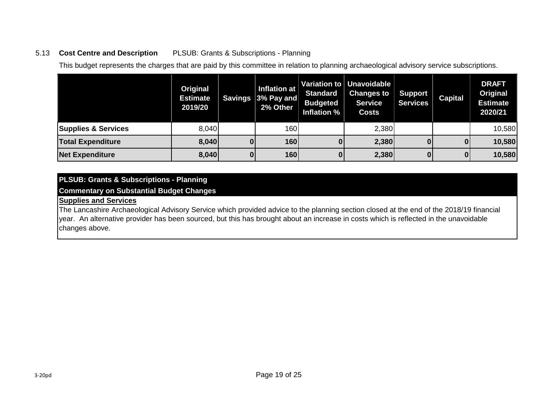#### 5.13 **Cost Centre and Description** PLSUB: Grants & Subscriptions - Planning

This budget represents the charges that are paid by this committee in relation to planning archaeological advisory service subscriptions.

|                                | Original<br><b>Estimate</b><br>2019/20 | Savings | <b>Inflation at</b><br>$ 3\%$ Pay and $ $<br>2% Other | <b>Standard</b><br><b>Budgeted</b><br>Inflation % | Variation to   Unavoidable  <br><b>Changes to</b><br><b>Service</b><br><b>Costs</b> | <b>Support</b><br><b>Services</b> | <b>Capital</b> | <b>DRAFT</b><br>Original<br><b>Estimate</b><br>2020/21 |
|--------------------------------|----------------------------------------|---------|-------------------------------------------------------|---------------------------------------------------|-------------------------------------------------------------------------------------|-----------------------------------|----------------|--------------------------------------------------------|
| <b>Supplies &amp; Services</b> | 8,040                                  |         | 160                                                   |                                                   | 2,380                                                                               |                                   |                | 10,580                                                 |
| <b>Total Expenditure</b>       | 8,040                                  |         | 160                                                   |                                                   | 2,380                                                                               |                                   |                | 10,580                                                 |
| <b>Net Expenditure</b>         | 8,040                                  | 0       | 160                                                   |                                                   | 2,380                                                                               | $\bf{0}$                          | 0              | 10,580                                                 |

## **PLSUB: Grants & Subscriptions - Planning**

#### **Commentary on Substantial Budget Changes**

#### **Supplies and Services**

The Lancashire Archaeological Advisory Service which provided advice to the planning section closed at the end of the 2018/19 financial year. An alternative provider has been sourced, but this has brought about an increase in costs which is reflected in the unavoidable changes above.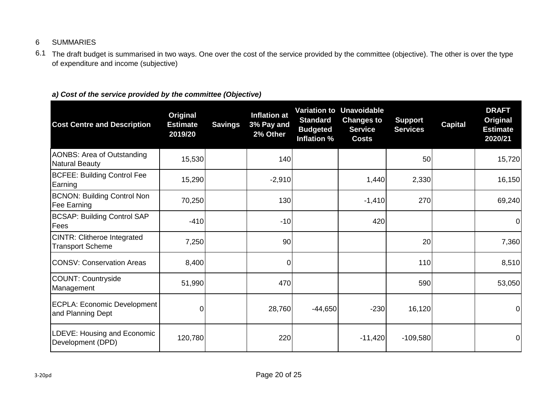#### 6 SUMMARIES

6.1 The draft budget is summarised in two ways. One over the cost of the service provided by the committee (objective). The other is over the type of expenditure and income (subjective)

#### *a) Cost of the service provided by the committee (Objective)*

| <b>Cost Centre and Description</b>                            | Original<br><b>Estimate</b><br>2019/20 | <b>Savings</b> | <b>Inflation at</b><br>3% Pay and<br>2% Other | <b>Standard</b><br><b>Budgeted</b><br>Inflation % | <b>Variation to Unavoidable</b><br><b>Changes to</b><br><b>Service</b><br><b>Costs</b> | <b>Support</b><br><b>Services</b> | <b>Capital</b> | <b>DRAFT</b><br><b>Original</b><br><b>Estimate</b><br>2020/21 |
|---------------------------------------------------------------|----------------------------------------|----------------|-----------------------------------------------|---------------------------------------------------|----------------------------------------------------------------------------------------|-----------------------------------|----------------|---------------------------------------------------------------|
| <b>AONBS: Area of Outstanding</b><br><b>Natural Beauty</b>    | 15,530                                 |                | 140                                           |                                                   |                                                                                        | 50                                |                | 15,720                                                        |
| <b>BCFEE: Building Control Fee</b><br>Earning                 | 15,290                                 |                | $-2,910$                                      |                                                   | 1,440                                                                                  | 2,330                             |                | 16,150                                                        |
| <b>BCNON: Building Control Non</b><br>Fee Earning             | 70,250                                 |                | 130                                           |                                                   | $-1,410$                                                                               | 270                               |                | 69,240                                                        |
| <b>BCSAP: Building Control SAP</b><br>Fees                    | $-410$                                 |                | $-10$                                         |                                                   | 420                                                                                    |                                   |                | 0                                                             |
| <b>CINTR: Clitheroe Integrated</b><br><b>Transport Scheme</b> | 7,250                                  |                | 90                                            |                                                   |                                                                                        | 20                                |                | 7,360                                                         |
| <b>CONSV: Conservation Areas</b>                              | 8,400                                  |                | $\overline{0}$                                |                                                   |                                                                                        | 110                               |                | 8,510                                                         |
| <b>COUNT: Countryside</b><br>Management                       | 51,990                                 |                | 470                                           |                                                   |                                                                                        | 590                               |                | 53,050                                                        |
| <b>ECPLA: Economic Development</b><br>and Planning Dept       | $\overline{0}$                         |                | 28,760                                        | $-44,650$                                         | $-230$                                                                                 | 16,120                            |                | $\overline{0}$                                                |
| LDEVE: Housing and Economic<br>Development (DPD)              | 120,780                                |                | 220                                           |                                                   | $-11,420$                                                                              | $-109,580$                        |                | 0                                                             |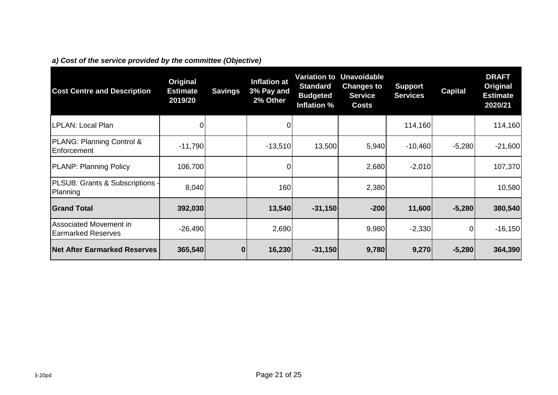|  |  |  | a) Cost of the service provided by the committee (Objective) |  |  |  |
|--|--|--|--------------------------------------------------------------|--|--|--|
|--|--|--|--------------------------------------------------------------|--|--|--|

| <b>Cost Centre and Description</b>                  | Original<br><b>Estimate</b><br>2019/20 | <b>Savings</b> | <b>Inflation at</b><br>3% Pay and<br>2% Other | <b>Variation to</b><br><b>Standard</b><br><b>Budgeted</b><br>Inflation % | <b>Unavoidable</b><br><b>Changes to</b><br><b>Service</b><br><b>Costs</b> | <b>Support</b><br><b>Services</b> | <b>Capital</b> | <b>DRAFT</b><br><b>Original</b><br><b>Estimate</b><br>2020/21 |
|-----------------------------------------------------|----------------------------------------|----------------|-----------------------------------------------|--------------------------------------------------------------------------|---------------------------------------------------------------------------|-----------------------------------|----------------|---------------------------------------------------------------|
| LPLAN: Local Plan                                   |                                        |                | 0                                             |                                                                          |                                                                           | 114,160                           |                | 114,160                                                       |
| PLANG: Planning Control &<br>Enforcement            | $-11,790$                              |                | $-13,510$                                     | 13,500                                                                   | 5,940                                                                     | $-10,460$                         | $-5,280$       | $-21,600$                                                     |
| <b>PLANP: Planning Policy</b>                       | 106,700                                |                | $\Omega$                                      |                                                                          | 2,680                                                                     | $-2,010$                          |                | 107,370                                                       |
| PLSUB: Grants & Subscriptions -<br>Planning         | 8,040                                  |                | 160                                           |                                                                          | 2,380                                                                     |                                   |                | 10,580                                                        |
| <b>Grand Total</b>                                  | 392,030                                |                | 13,540                                        | $-31,150$                                                                | $-200$                                                                    | 11,600                            | $-5,280$       | 380,540                                                       |
| Associated Movement in<br><b>Earmarked Reserves</b> | $-26,490$                              |                | 2,690                                         |                                                                          | 9,980                                                                     | $-2,330$                          | 0              | $-16,150$                                                     |
| <b>Net After Earmarked Reserves</b>                 | 365,540                                | 0              | 16,230                                        | $-31,150$                                                                | 9,780                                                                     | 9,270                             | $-5,280$       | 364,390                                                       |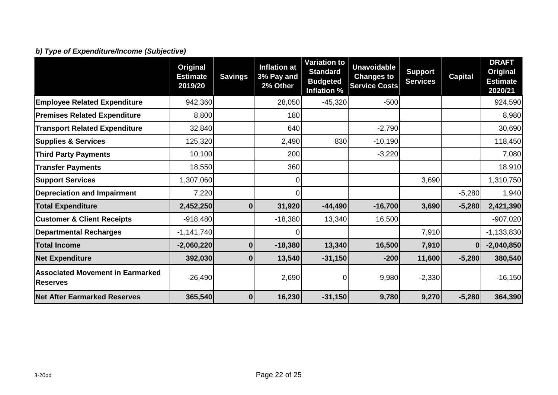# *b) Type of Expenditure/Income (Subjective)*

|                                                            | Original<br><b>Estimate</b><br>2019/20 | <b>Savings</b> | <b>Inflation at</b><br>3% Pay and<br>2% Other | <b>Variation to</b><br><b>Standard</b><br><b>Budgeted</b><br>Inflation % | <b>Unavoidable</b><br><b>Changes to</b><br><b>Service Costs</b> | <b>Support</b><br><b>Services</b> | <b>Capital</b> | <b>DRAFT</b><br>Original<br><b>Estimate</b><br>2020/21 |
|------------------------------------------------------------|----------------------------------------|----------------|-----------------------------------------------|--------------------------------------------------------------------------|-----------------------------------------------------------------|-----------------------------------|----------------|--------------------------------------------------------|
| <b>Employee Related Expenditure</b>                        | 942,360                                |                | 28,050                                        | $-45,320$                                                                | $-500$                                                          |                                   |                | 924,590                                                |
| <b>Premises Related Expenditure</b>                        | 8,800                                  |                | 180                                           |                                                                          |                                                                 |                                   |                | 8,980                                                  |
| <b>Transport Related Expenditure</b>                       | 32,840                                 |                | 640                                           |                                                                          | $-2,790$                                                        |                                   |                | 30,690                                                 |
| <b>Supplies &amp; Services</b>                             | 125,320                                |                | 2,490                                         | 830                                                                      | $-10,190$                                                       |                                   |                | 118,450                                                |
| <b>Third Party Payments</b>                                | 10,100                                 |                | 200                                           |                                                                          | $-3,220$                                                        |                                   |                | 7,080                                                  |
| <b>Transfer Payments</b>                                   | 18,550                                 |                | 360                                           |                                                                          |                                                                 |                                   |                | 18,910                                                 |
| <b>Support Services</b>                                    | 1,307,060                              |                | 0                                             |                                                                          |                                                                 | 3,690                             |                | 1,310,750                                              |
| <b>Depreciation and Impairment</b>                         | 7,220                                  |                | $\Omega$                                      |                                                                          |                                                                 |                                   | $-5,280$       | 1,940                                                  |
| <b>Total Expenditure</b>                                   | 2,452,250                              | $\bf{0}$       | 31,920                                        | $-44,490$                                                                | $-16,700$                                                       | 3,690                             | $-5,280$       | 2,421,390                                              |
| <b>Customer &amp; Client Receipts</b>                      | $-918,480$                             |                | $-18,380$                                     | 13,340                                                                   | 16,500                                                          |                                   |                | $-907,020$                                             |
| <b>Departmental Recharges</b>                              | $-1,141,740$                           |                |                                               |                                                                          |                                                                 | 7,910                             |                | $-1,133,830$                                           |
| <b>Total Income</b>                                        | $-2,060,220$                           | $\bf{0}$       | $-18,380$                                     | 13,340                                                                   | 16,500                                                          | 7,910                             |                | $-2,040,850$                                           |
| <b>Net Expenditure</b>                                     | 392,030                                | $\bf{0}$       | 13,540                                        | $-31,150$                                                                | $-200$                                                          | 11,600                            | $-5,280$       | 380,540                                                |
| <b>Associated Movement in Earmarked</b><br><b>Reserves</b> | $-26,490$                              |                | 2,690                                         | 0                                                                        | 9,980                                                           | $-2,330$                          |                | $-16, 150$                                             |
| <b>Net After Earmarked Reserves</b>                        | 365,540                                | $\mathbf 0$    | 16,230                                        | $-31,150$                                                                | 9,780                                                           | 9,270                             | $-5,280$       | 364,390                                                |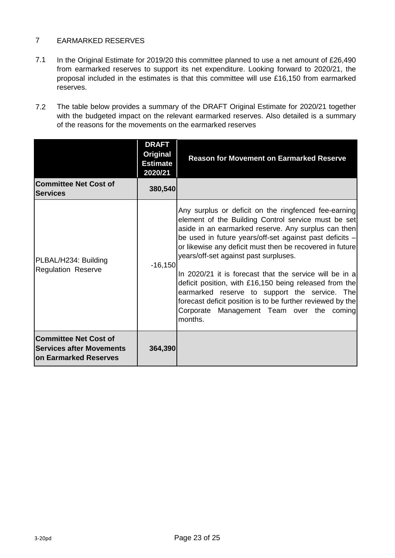#### 7 EARMARKED RESERVES

- 7.1 In the Original Estimate for 2019/20 this committee planned to use a net amount of £26,490 from earmarked reserves to support its net expenditure. Looking forward to 2020/21, the proposal included in the estimates is that this committee will use £16,150 from earmarked reserves.
- 7.2 The table below provides a summary of the DRAFT Original Estimate for 2020/21 together with the budgeted impact on the relevant earmarked reserves. Also detailed is a summary of the reasons for the movements on the earmarked reserves

|                                                                                                  | <b>DRAFT</b><br>Original<br><b>Estimate</b><br>2020/21 | <b>Reason for Movement on Earmarked Reserve</b>                                                                                                                                                                                                                                                                                                                                                                                                                                                                                                                                                                                |
|--------------------------------------------------------------------------------------------------|--------------------------------------------------------|--------------------------------------------------------------------------------------------------------------------------------------------------------------------------------------------------------------------------------------------------------------------------------------------------------------------------------------------------------------------------------------------------------------------------------------------------------------------------------------------------------------------------------------------------------------------------------------------------------------------------------|
| <b>Committee Net Cost of</b><br><b>Services</b>                                                  | 380,540                                                |                                                                                                                                                                                                                                                                                                                                                                                                                                                                                                                                                                                                                                |
| PLBAL/H234: Building<br><b>Regulation Reserve</b>                                                | $-16,150$                                              | Any surplus or deficit on the ringfenced fee-earning<br>element of the Building Control service must be set<br>aside in an earmarked reserve. Any surplus can then<br>be used in future years/off-set against past deficits -<br>or likewise any deficit must then be recovered in future<br>years/off-set against past surpluses.<br>In 2020/21 it is forecast that the service will be in a<br>deficit position, with £16,150 being released from the<br>earmarked reserve to support the service. The<br>forecast deficit position is to be further reviewed by the<br>Corporate Management Team over the coming<br>months. |
| <b>Committee Net Cost of</b><br><b>Services after Movements</b><br><b>Ion Earmarked Reserves</b> | 364,390                                                |                                                                                                                                                                                                                                                                                                                                                                                                                                                                                                                                                                                                                                |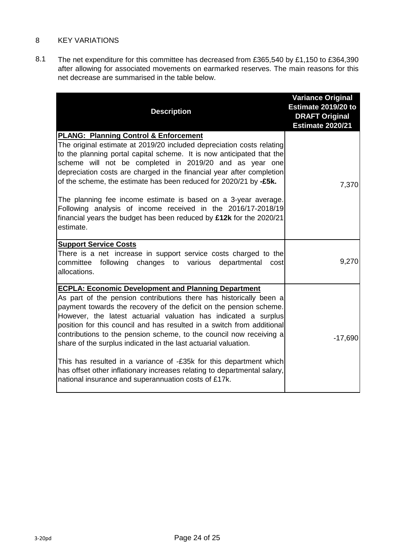#### 8 KEY VARIATIONS

8.1 The net expenditure for this committee has decreased from £365,540 by £1,150 to £364,390 after allowing for associated movements on earmarked reserves. The main reasons for this net decrease are summarised in the table below.

| <b>Description</b>                                                                                                                                                                                                                                                                                                                                                                                                                                                                                                                                                                                                                                                                                      | <b>Variance Original</b><br>Estimate 2019/20 to<br><b>DRAFT Original</b><br><b>Estimate 2020/21</b> |
|---------------------------------------------------------------------------------------------------------------------------------------------------------------------------------------------------------------------------------------------------------------------------------------------------------------------------------------------------------------------------------------------------------------------------------------------------------------------------------------------------------------------------------------------------------------------------------------------------------------------------------------------------------------------------------------------------------|-----------------------------------------------------------------------------------------------------|
| <b>PLANG: Planning Control &amp; Enforcement</b><br>The original estimate at 2019/20 included depreciation costs relating<br>to the planning portal capital scheme. It is now anticipated that the<br>scheme will not be completed in 2019/20 and as year one<br>depreciation costs are charged in the financial year after completion<br>of the scheme, the estimate has been reduced for 2020/21 by -£5k.<br>The planning fee income estimate is based on a 3-year average.<br>Following analysis of income received in the 2016/17-2018/19<br>financial years the budget has been reduced by $£12k$ for the 2020/21<br>estimate.                                                                     | 7,370                                                                                               |
| <b>Support Service Costs</b><br>There is a net increase in support service costs charged to the<br>committee<br>following changes to various<br>departmental<br>cost<br>allocations.                                                                                                                                                                                                                                                                                                                                                                                                                                                                                                                    | 9,270                                                                                               |
| <b>ECPLA: Economic Development and Planning Department</b><br>As part of the pension contributions there has historically been a<br>payment towards the recovery of the deficit on the pension scheme.<br>However, the latest actuarial valuation has indicated a surplus<br>position for this council and has resulted in a switch from additional<br>contributions to the pension scheme, to the council now receiving a<br>share of the surplus indicated in the last actuarial valuation.<br>This has resulted in a variance of -£35k for this department which<br>has offset other inflationary increases relating to departmental salary,<br>national insurance and superannuation costs of £17k. | $-17,690$                                                                                           |